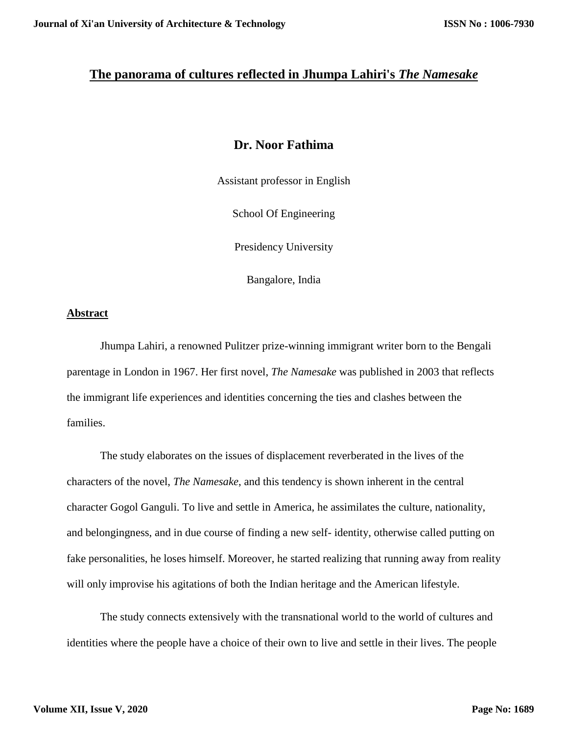## **The panorama of cultures reflected in Jhumpa Lahiri's** *The Namesake*

# **Dr. Noor Fathima**

Assistant professor in English

School Of Engineering

Presidency University

Bangalore, India

## **Abstract**

Jhumpa Lahiri, a renowned Pulitzer prize-winning immigrant writer born to the Bengali parentage in London in 1967. Her first novel, *The Namesake* was published in 2003 that reflects the immigrant life experiences and identities concerning the ties and clashes between the families.

The study elaborates on the issues of displacement reverberated in the lives of the characters of the novel, *The Namesake*, and this tendency is shown inherent in the central character Gogol Ganguli. To live and settle in America, he assimilates the culture, nationality, and belongingness, and in due course of finding a new self- identity, otherwise called putting on fake personalities, he loses himself. Moreover, he started realizing that running away from reality will only improvise his agitations of both the Indian heritage and the American lifestyle.

The study connects extensively with the transnational world to the world of cultures and identities where the people have a choice of their own to live and settle in their lives. The people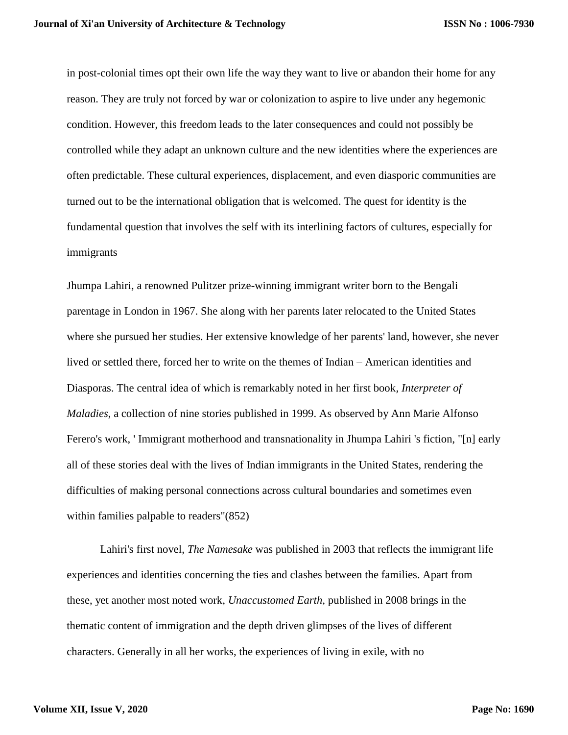in post-colonial times opt their own life the way they want to live or abandon their home for any reason. They are truly not forced by war or colonization to aspire to live under any hegemonic condition. However, this freedom leads to the later consequences and could not possibly be controlled while they adapt an unknown culture and the new identities where the experiences are often predictable. These cultural experiences, displacement, and even diasporic communities are turned out to be the international obligation that is welcomed. The quest for identity is the fundamental question that involves the self with its interlining factors of cultures, especially for immigrants

Jhumpa Lahiri, a renowned Pulitzer prize-winning immigrant writer born to the Bengali parentage in London in 1967. She along with her parents later relocated to the United States where she pursued her studies. Her extensive knowledge of her parents' land, however, she never lived or settled there, forced her to write on the themes of Indian – American identities and Diasporas. The central idea of which is remarkably noted in her first book*, Interpreter of Maladies*, a collection of nine stories published in 1999. As observed by Ann Marie Alfonso Ferero's work, ' Immigrant motherhood and transnationality in Jhumpa Lahiri 's fiction, "[n] early all of these stories deal with the lives of Indian immigrants in the United States, rendering the difficulties of making personal connections across cultural boundaries and sometimes even within families palpable to readers"(852)

Lahiri's first novel, *The Namesake* was published in 2003 that reflects the immigrant life experiences and identities concerning the ties and clashes between the families. Apart from these, yet another most noted work, *Unaccustomed Earth,* published in 2008 brings in the thematic content of immigration and the depth driven glimpses of the lives of different characters. Generally in all her works, the experiences of living in exile, with no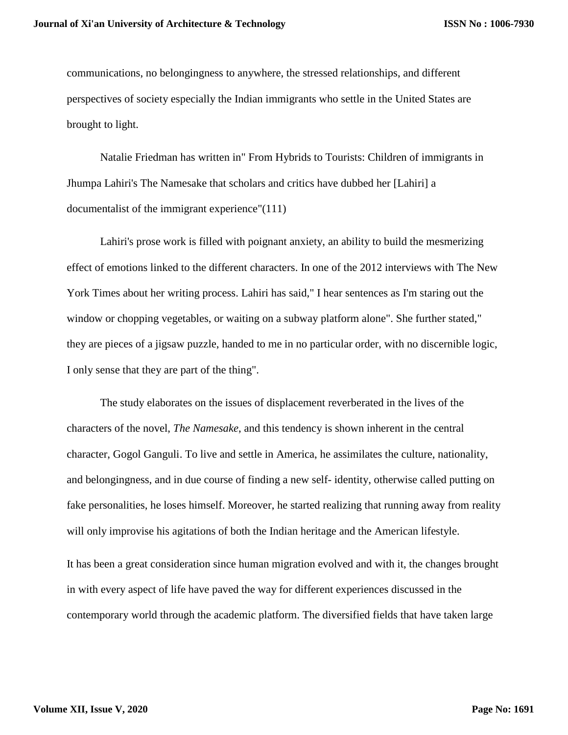communications, no belongingness to anywhere, the stressed relationships, and different perspectives of society especially the Indian immigrants who settle in the United States are brought to light.

Natalie Friedman has written in" From Hybrids to Tourists: Children of immigrants in Jhumpa Lahiri's The Namesake that scholars and critics have dubbed her [Lahiri] a documentalist of the immigrant experience"(111)

Lahiri's prose work is filled with poignant anxiety, an ability to build the mesmerizing effect of emotions linked to the different characters. In one of the 2012 interviews with The New York Times about her writing process. Lahiri has said," I hear sentences as I'm staring out the window or chopping vegetables, or waiting on a subway platform alone". She further stated," they are pieces of a jigsaw puzzle, handed to me in no particular order, with no discernible logic, I only sense that they are part of the thing".

The study elaborates on the issues of displacement reverberated in the lives of the characters of the novel, *The Namesake*, and this tendency is shown inherent in the central character, Gogol Ganguli. To live and settle in America, he assimilates the culture, nationality, and belongingness, and in due course of finding a new self- identity, otherwise called putting on fake personalities, he loses himself. Moreover, he started realizing that running away from reality will only improvise his agitations of both the Indian heritage and the American lifestyle. It has been a great consideration since human migration evolved and with it, the changes brought in with every aspect of life have paved the way for different experiences discussed in the contemporary world through the academic platform. The diversified fields that have taken large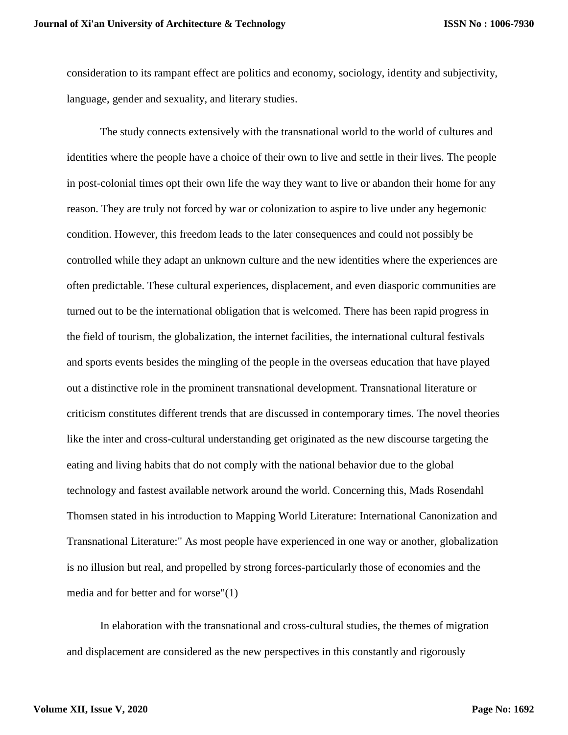consideration to its rampant effect are politics and economy, sociology, identity and subjectivity, language, gender and sexuality, and literary studies.

The study connects extensively with the transnational world to the world of cultures and identities where the people have a choice of their own to live and settle in their lives. The people in post-colonial times opt their own life the way they want to live or abandon their home for any reason. They are truly not forced by war or colonization to aspire to live under any hegemonic condition. However, this freedom leads to the later consequences and could not possibly be controlled while they adapt an unknown culture and the new identities where the experiences are often predictable. These cultural experiences, displacement, and even diasporic communities are turned out to be the international obligation that is welcomed. There has been rapid progress in the field of tourism, the globalization, the internet facilities, the international cultural festivals and sports events besides the mingling of the people in the overseas education that have played out a distinctive role in the prominent transnational development. Transnational literature or criticism constitutes different trends that are discussed in contemporary times. The novel theories like the inter and cross-cultural understanding get originated as the new discourse targeting the eating and living habits that do not comply with the national behavior due to the global technology and fastest available network around the world. Concerning this, Mads Rosendahl Thomsen stated in his introduction to Mapping World Literature: International Canonization and Transnational Literature:" As most people have experienced in one way or another, globalization is no illusion but real, and propelled by strong forces-particularly those of economies and the media and for better and for worse"(1)

In elaboration with the transnational and cross-cultural studies, the themes of migration and displacement are considered as the new perspectives in this constantly and rigorously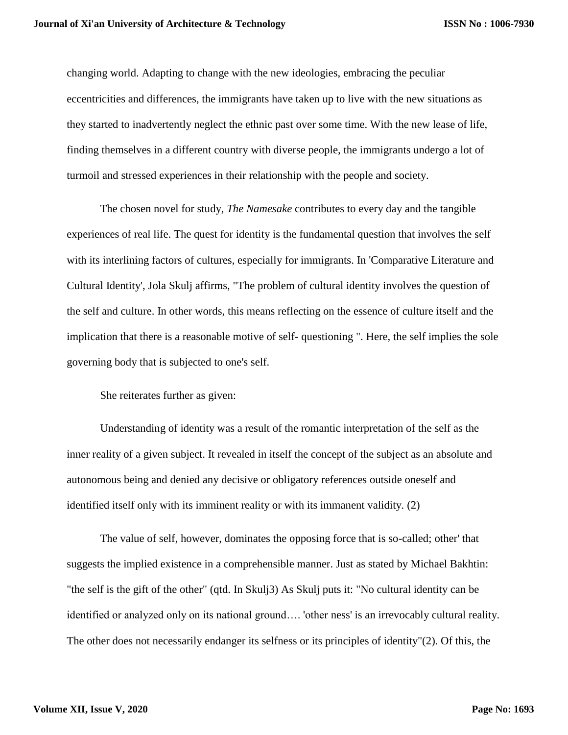changing world. Adapting to change with the new ideologies, embracing the peculiar eccentricities and differences, the immigrants have taken up to live with the new situations as they started to inadvertently neglect the ethnic past over some time. With the new lease of life, finding themselves in a different country with diverse people, the immigrants undergo a lot of turmoil and stressed experiences in their relationship with the people and society.

The chosen novel for study, *The Namesake* contributes to every day and the tangible experiences of real life. The quest for identity is the fundamental question that involves the self with its interlining factors of cultures, especially for immigrants. In 'Comparative Literature and Cultural Identity', Jola Skulj affirms, "The problem of cultural identity involves the question of the self and culture. In other words, this means reflecting on the essence of culture itself and the implication that there is a reasonable motive of self- questioning ". Here, the self implies the sole governing body that is subjected to one's self.

She reiterates further as given:

Understanding of identity was a result of the romantic interpretation of the self as the inner reality of a given subject. It revealed in itself the concept of the subject as an absolute and autonomous being and denied any decisive or obligatory references outside oneself and identified itself only with its imminent reality or with its immanent validity. (2)

The value of self, however, dominates the opposing force that is so-called; other' that suggests the implied existence in a comprehensible manner. Just as stated by Michael Bakhtin: "the self is the gift of the other" (qtd. In Skulj3) As Skulj puts it: "No cultural identity can be identified or analyzed only on its national ground…. 'other ness' is an irrevocably cultural reality. The other does not necessarily endanger its selfness or its principles of identity"(2). Of this, the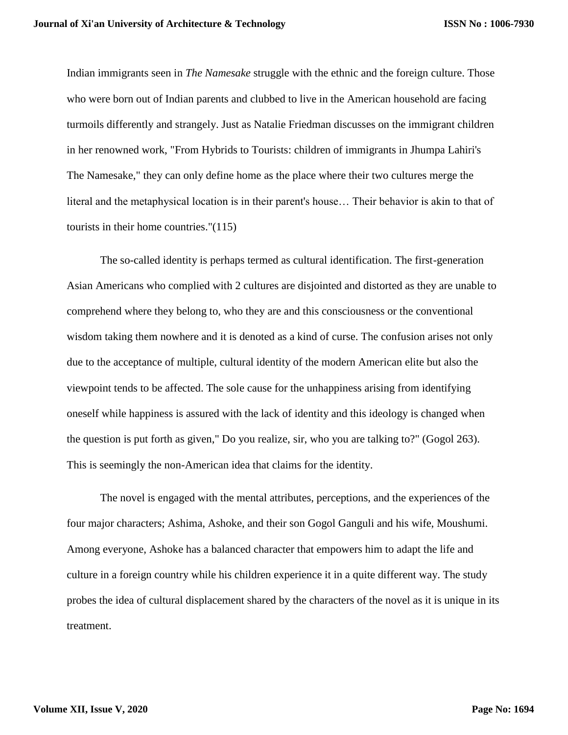Indian immigrants seen in *The Namesake* struggle with the ethnic and the foreign culture. Those who were born out of Indian parents and clubbed to live in the American household are facing turmoils differently and strangely. Just as Natalie Friedman discusses on the immigrant children in her renowned work, "From Hybrids to Tourists: children of immigrants in Jhumpa Lahiri's The Namesake," they can only define home as the place where their two cultures merge the literal and the metaphysical location is in their parent's house… Their behavior is akin to that of tourists in their home countries."(115)

The so-called identity is perhaps termed as cultural identification. The first-generation Asian Americans who complied with 2 cultures are disjointed and distorted as they are unable to comprehend where they belong to, who they are and this consciousness or the conventional wisdom taking them nowhere and it is denoted as a kind of curse. The confusion arises not only due to the acceptance of multiple, cultural identity of the modern American elite but also the viewpoint tends to be affected. The sole cause for the unhappiness arising from identifying oneself while happiness is assured with the lack of identity and this ideology is changed when the question is put forth as given," Do you realize, sir, who you are talking to?" (Gogol 263). This is seemingly the non-American idea that claims for the identity.

The novel is engaged with the mental attributes, perceptions, and the experiences of the four major characters; Ashima, Ashoke, and their son Gogol Ganguli and his wife, Moushumi. Among everyone, Ashoke has a balanced character that empowers him to adapt the life and culture in a foreign country while his children experience it in a quite different way. The study probes the idea of cultural displacement shared by the characters of the novel as it is unique in its treatment.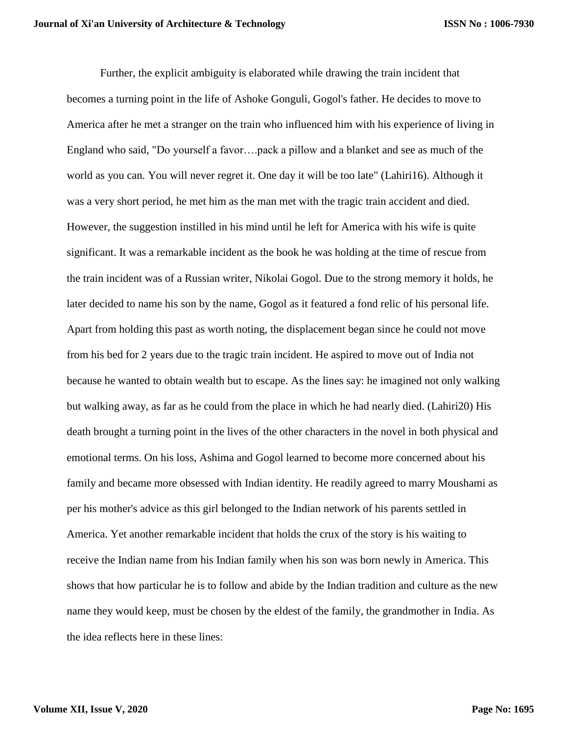Further, the explicit ambiguity is elaborated while drawing the train incident that becomes a turning point in the life of Ashoke Gonguli, Gogol's father. He decides to move to America after he met a stranger on the train who influenced him with his experience of living in England who said, "Do yourself a favor….pack a pillow and a blanket and see as much of the world as you can. You will never regret it. One day it will be too late" (Lahiri16). Although it was a very short period, he met him as the man met with the tragic train accident and died. However, the suggestion instilled in his mind until he left for America with his wife is quite significant. It was a remarkable incident as the book he was holding at the time of rescue from the train incident was of a Russian writer, Nikolai Gogol. Due to the strong memory it holds, he later decided to name his son by the name, Gogol as it featured a fond relic of his personal life. Apart from holding this past as worth noting, the displacement began since he could not move from his bed for 2 years due to the tragic train incident. He aspired to move out of India not because he wanted to obtain wealth but to escape. As the lines say: he imagined not only walking but walking away, as far as he could from the place in which he had nearly died. (Lahiri20) His death brought a turning point in the lives of the other characters in the novel in both physical and emotional terms. On his loss, Ashima and Gogol learned to become more concerned about his family and became more obsessed with Indian identity. He readily agreed to marry Moushami as per his mother's advice as this girl belonged to the Indian network of his parents settled in America. Yet another remarkable incident that holds the crux of the story is his waiting to receive the Indian name from his Indian family when his son was born newly in America. This shows that how particular he is to follow and abide by the Indian tradition and culture as the new name they would keep, must be chosen by the eldest of the family, the grandmother in India. As the idea reflects here in these lines: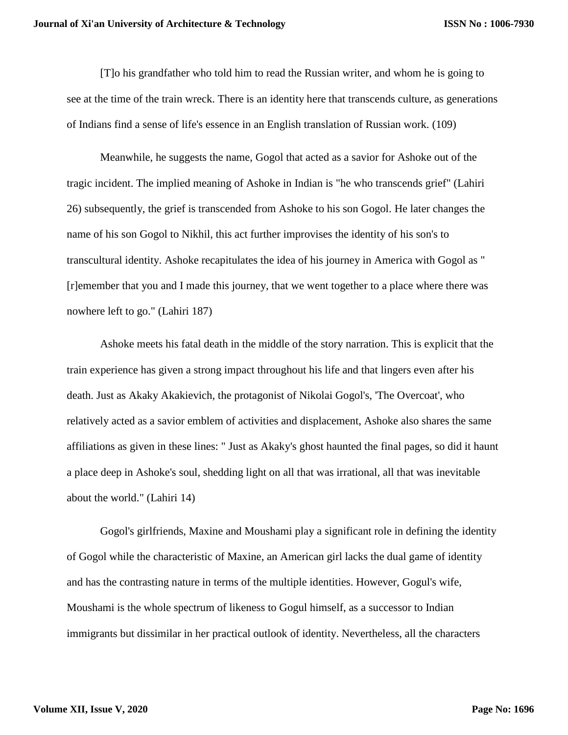[T]o his grandfather who told him to read the Russian writer, and whom he is going to see at the time of the train wreck. There is an identity here that transcends culture, as generations of Indians find a sense of life's essence in an English translation of Russian work. (109)

Meanwhile, he suggests the name, Gogol that acted as a savior for Ashoke out of the tragic incident. The implied meaning of Ashoke in Indian is "he who transcends grief" (Lahiri 26) subsequently, the grief is transcended from Ashoke to his son Gogol. He later changes the name of his son Gogol to Nikhil, this act further improvises the identity of his son's to transcultural identity. Ashoke recapitulates the idea of his journey in America with Gogol as " [r]emember that you and I made this journey, that we went together to a place where there was nowhere left to go." (Lahiri 187)

Ashoke meets his fatal death in the middle of the story narration. This is explicit that the train experience has given a strong impact throughout his life and that lingers even after his death. Just as Akaky Akakievich, the protagonist of Nikolai Gogol's, 'The Overcoat', who relatively acted as a savior emblem of activities and displacement, Ashoke also shares the same affiliations as given in these lines: " Just as Akaky's ghost haunted the final pages, so did it haunt a place deep in Ashoke's soul, shedding light on all that was irrational, all that was inevitable about the world." (Lahiri 14)

Gogol's girlfriends, Maxine and Moushami play a significant role in defining the identity of Gogol while the characteristic of Maxine, an American girl lacks the dual game of identity and has the contrasting nature in terms of the multiple identities. However, Gogul's wife, Moushami is the whole spectrum of likeness to Gogul himself, as a successor to Indian immigrants but dissimilar in her practical outlook of identity. Nevertheless, all the characters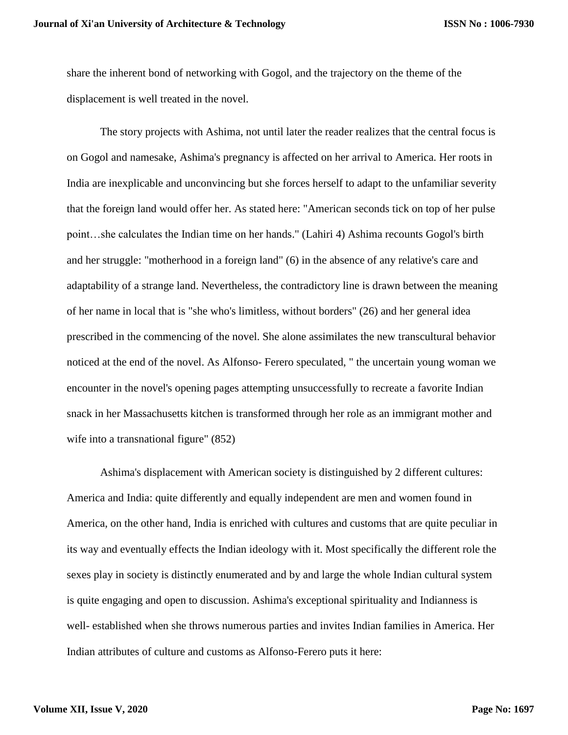share the inherent bond of networking with Gogol, and the trajectory on the theme of the displacement is well treated in the novel.

The story projects with Ashima, not until later the reader realizes that the central focus is on Gogol and namesake, Ashima's pregnancy is affected on her arrival to America. Her roots in India are inexplicable and unconvincing but she forces herself to adapt to the unfamiliar severity that the foreign land would offer her. As stated here: "American seconds tick on top of her pulse point…she calculates the Indian time on her hands." (Lahiri 4) Ashima recounts Gogol's birth and her struggle: "motherhood in a foreign land" (6) in the absence of any relative's care and adaptability of a strange land. Nevertheless, the contradictory line is drawn between the meaning of her name in local that is "she who's limitless, without borders" (26) and her general idea prescribed in the commencing of the novel. She alone assimilates the new transcultural behavior noticed at the end of the novel. As Alfonso- Ferero speculated, " the uncertain young woman we encounter in the novel's opening pages attempting unsuccessfully to recreate a favorite Indian snack in her Massachusetts kitchen is transformed through her role as an immigrant mother and wife into a transnational figure" (852)

Ashima's displacement with American society is distinguished by 2 different cultures: America and India: quite differently and equally independent are men and women found in America, on the other hand, India is enriched with cultures and customs that are quite peculiar in its way and eventually effects the Indian ideology with it. Most specifically the different role the sexes play in society is distinctly enumerated and by and large the whole Indian cultural system is quite engaging and open to discussion. Ashima's exceptional spirituality and Indianness is well- established when she throws numerous parties and invites Indian families in America. Her Indian attributes of culture and customs as Alfonso-Ferero puts it here: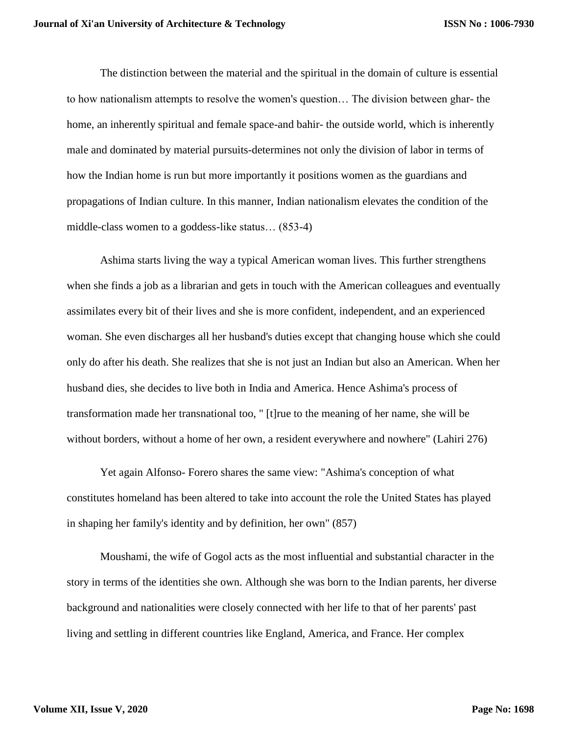The distinction between the material and the spiritual in the domain of culture is essential to how nationalism attempts to resolve the women's question… The division between ghar- the home, an inherently spiritual and female space-and bahir- the outside world, which is inherently male and dominated by material pursuits-determines not only the division of labor in terms of how the Indian home is run but more importantly it positions women as the guardians and propagations of Indian culture. In this manner, Indian nationalism elevates the condition of the middle-class women to a goddess-like status… (853-4)

Ashima starts living the way a typical American woman lives. This further strengthens when she finds a job as a librarian and gets in touch with the American colleagues and eventually assimilates every bit of their lives and she is more confident, independent, and an experienced woman. She even discharges all her husband's duties except that changing house which she could only do after his death. She realizes that she is not just an Indian but also an American. When her husband dies, she decides to live both in India and America. Hence Ashima's process of transformation made her transnational too, " [t]rue to the meaning of her name, she will be without borders, without a home of her own, a resident everywhere and nowhere" (Lahiri 276)

Yet again Alfonso- Forero shares the same view: "Ashima's conception of what constitutes homeland has been altered to take into account the role the United States has played in shaping her family's identity and by definition, her own" (857)

Moushami, the wife of Gogol acts as the most influential and substantial character in the story in terms of the identities she own. Although she was born to the Indian parents, her diverse background and nationalities were closely connected with her life to that of her parents' past living and settling in different countries like England, America, and France. Her complex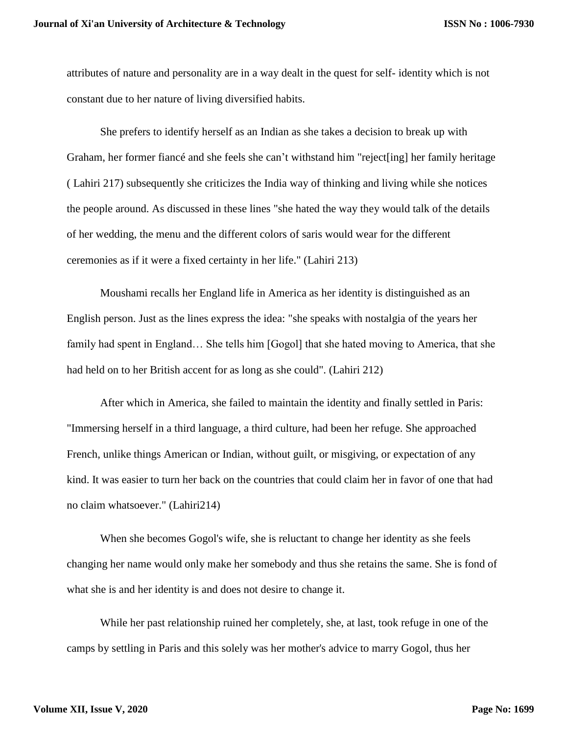attributes of nature and personality are in a way dealt in the quest for self- identity which is not constant due to her nature of living diversified habits.

She prefers to identify herself as an Indian as she takes a decision to break up with Graham, her former fiancé and she feels she can't withstand him "reject[ing] her family heritage ( Lahiri 217) subsequently she criticizes the India way of thinking and living while she notices the people around. As discussed in these lines "she hated the way they would talk of the details of her wedding, the menu and the different colors of saris would wear for the different ceremonies as if it were a fixed certainty in her life." (Lahiri 213)

Moushami recalls her England life in America as her identity is distinguished as an English person. Just as the lines express the idea: "she speaks with nostalgia of the years her family had spent in England... She tells him [Gogol] that she hated moving to America, that she had held on to her British accent for as long as she could". (Lahiri 212)

After which in America, she failed to maintain the identity and finally settled in Paris: "Immersing herself in a third language, a third culture, had been her refuge. She approached French, unlike things American or Indian, without guilt, or misgiving, or expectation of any kind. It was easier to turn her back on the countries that could claim her in favor of one that had no claim whatsoever." (Lahiri214)

When she becomes Gogol's wife, she is reluctant to change her identity as she feels changing her name would only make her somebody and thus she retains the same. She is fond of what she is and her identity is and does not desire to change it.

While her past relationship ruined her completely, she, at last, took refuge in one of the camps by settling in Paris and this solely was her mother's advice to marry Gogol, thus her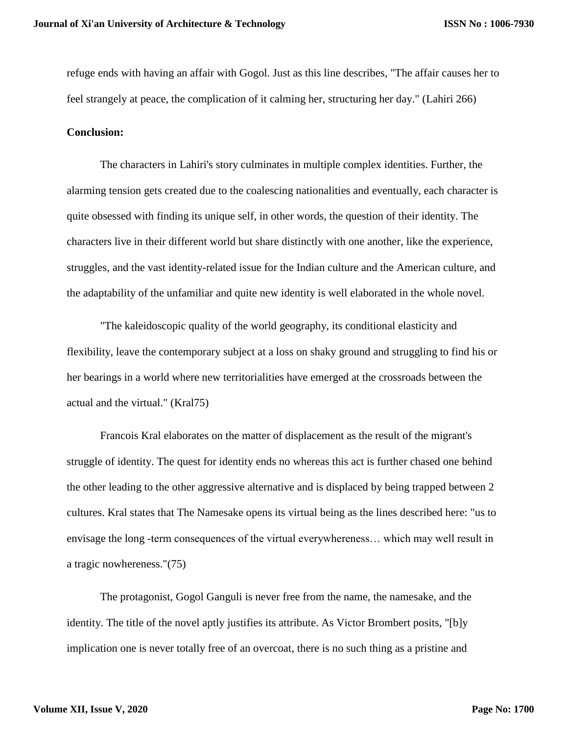refuge ends with having an affair with Gogol. Just as this line describes, "The affair causes her to feel strangely at peace, the complication of it calming her, structuring her day." (Lahiri 266)

#### **Conclusion:**

The characters in Lahiri's story culminates in multiple complex identities. Further, the alarming tension gets created due to the coalescing nationalities and eventually, each character is quite obsessed with finding its unique self, in other words, the question of their identity. The characters live in their different world but share distinctly with one another, like the experience, struggles, and the vast identity-related issue for the Indian culture and the American culture, and the adaptability of the unfamiliar and quite new identity is well elaborated in the whole novel.

"The kaleidoscopic quality of the world geography, its conditional elasticity and flexibility, leave the contemporary subject at a loss on shaky ground and struggling to find his or her bearings in a world where new territorialities have emerged at the crossroads between the actual and the virtual." (Kral75)

Francois Kral elaborates on the matter of displacement as the result of the migrant's struggle of identity. The quest for identity ends no whereas this act is further chased one behind the other leading to the other aggressive alternative and is displaced by being trapped between 2 cultures. Kral states that The Namesake opens its virtual being as the lines described here: "us to envisage the long -term consequences of the virtual everywhereness… which may well result in a tragic nowhereness."(75)

The protagonist, Gogol Ganguli is never free from the name, the namesake, and the identity. The title of the novel aptly justifies its attribute. As Victor Brombert posits, "[b]y implication one is never totally free of an overcoat, there is no such thing as a pristine and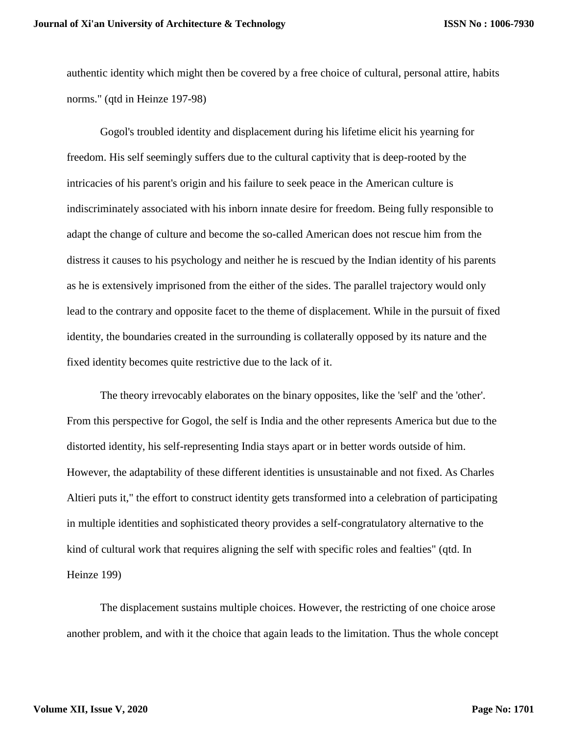authentic identity which might then be covered by a free choice of cultural, personal attire, habits norms." (qtd in Heinze 197-98)

Gogol's troubled identity and displacement during his lifetime elicit his yearning for freedom. His self seemingly suffers due to the cultural captivity that is deep-rooted by the intricacies of his parent's origin and his failure to seek peace in the American culture is indiscriminately associated with his inborn innate desire for freedom. Being fully responsible to adapt the change of culture and become the so-called American does not rescue him from the distress it causes to his psychology and neither he is rescued by the Indian identity of his parents as he is extensively imprisoned from the either of the sides. The parallel trajectory would only lead to the contrary and opposite facet to the theme of displacement. While in the pursuit of fixed identity, the boundaries created in the surrounding is collaterally opposed by its nature and the fixed identity becomes quite restrictive due to the lack of it.

The theory irrevocably elaborates on the binary opposites, like the 'self' and the 'other'. From this perspective for Gogol, the self is India and the other represents America but due to the distorted identity, his self-representing India stays apart or in better words outside of him. However, the adaptability of these different identities is unsustainable and not fixed. As Charles Altieri puts it," the effort to construct identity gets transformed into a celebration of participating in multiple identities and sophisticated theory provides a self-congratulatory alternative to the kind of cultural work that requires aligning the self with specific roles and fealties" (qtd. In Heinze 199)

The displacement sustains multiple choices. However, the restricting of one choice arose another problem, and with it the choice that again leads to the limitation. Thus the whole concept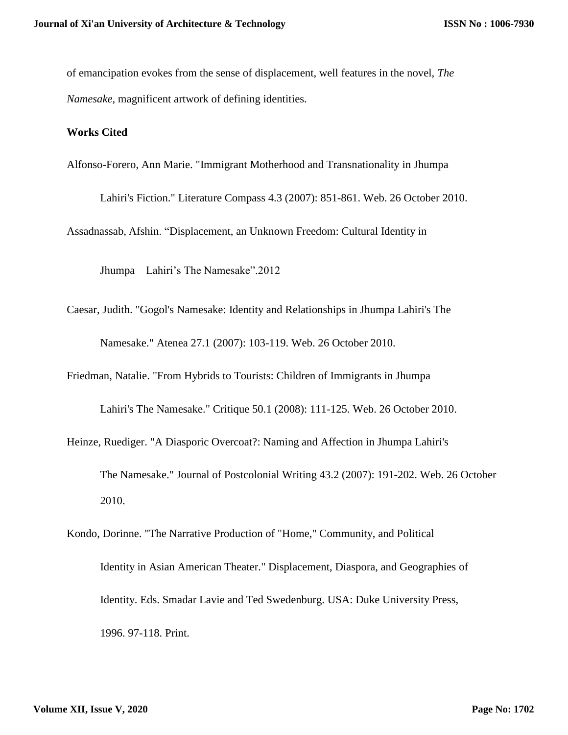of emancipation evokes from the sense of displacement, well features in the novel, *The Namesake*, magnificent artwork of defining identities.

### **Works Cited**

Alfonso-Forero, Ann Marie. "Immigrant Motherhood and Transnationality in Jhumpa

Lahiri's Fiction." Literature Compass 4.3 (2007): 851-861. Web. 26 October 2010.

Assadnassab, Afshin. "Displacement, an Unknown Freedom: Cultural Identity in

Jhumpa Lahiri's The Namesake".2012

Caesar, Judith. "Gogol's Namesake: Identity and Relationships in Jhumpa Lahiri's The Namesake." Atenea 27.1 (2007): 103-119. Web. 26 October 2010.

Friedman, Natalie. "From Hybrids to Tourists: Children of Immigrants in Jhumpa

Lahiri's The Namesake." Critique 50.1 (2008): 111-125. Web. 26 October 2010.

Heinze, Ruediger. "A Diasporic Overcoat?: Naming and Affection in Jhumpa Lahiri's

The Namesake." Journal of Postcolonial Writing 43.2 (2007): 191-202. Web. 26 October 2010.

Kondo, Dorinne. "The Narrative Production of "Home," Community, and Political Identity in Asian American Theater." Displacement, Diaspora, and Geographies of Identity. Eds. Smadar Lavie and Ted Swedenburg. USA: Duke University Press, 1996. 97-118. Print.